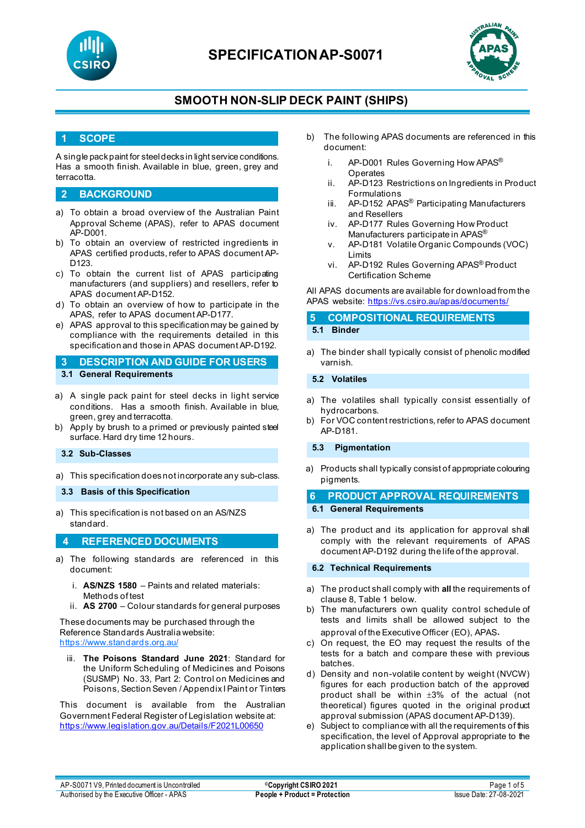



### **SMOOTH NON-SLIP DECK PAINT (SHIPS)**

#### **1 SCOPE**

A single pack paint for steel decks in light service conditions. Has a smooth finish. Available in blue, green, grey and terracotta.

#### **2 BACKGROUND**

- a) To obtain a broad overview of the Australian Paint Approval Scheme (APAS), refer to APAS document AP-D001.
- b) To obtain an overview of restricted ingredients in APAS certified products, refer to APAS document AP-D123.
- c) To obtain the current list of APAS participating manufacturers (and suppliers) and resellers, refer to APAS document AP-D152.
- d) To obtain an overview of how to participate in the APAS, refer to APAS document AP-D177.
- e) APAS approval to this specification may be gained by compliance with the requirements detailed in this specification and those in APAS document AP-D192.

### **3 DESCRIPTION AND GUIDE FOR USERS**

- **3.1 General Requirements**
- a) A single pack paint for steel decks in light service conditions. Has a smooth finish. Available in blue, green, grey and terracotta.
- b) Apply by brush to a primed or previously painted steel surface. Hard dry time 12 hours.

#### **3.2 Sub-Classes**

- a) This specification does not incorporate any sub-class.
- **3.3 Basis of this Specification**
- a) This specification is not based on an AS/NZS standard.

#### **4 REFERENCED DOCUMENTS**

- a) The following standards are referenced in this document:
	- i. **AS/NZS 1580** Paints and related materials: Methods of test
	- ii. **AS 2700** Colour standards for general purposes

#### These documents may be purchased through the Reference Standards Australia website: <https://www.standards.org.au/>

iii. **The Poisons Standard June 2021**: Standard for the Uniform Scheduling of Medicines and Poisons (SUSMP) No. 33, Part 2: Control on Medicines and Poisons, Section Seven / Appendix I Paint or Tinters

This document is available from the Australian Government Federal Register of Legislation website at: <https://www.legislation.gov.au/Details/F2021L00650>

- b) The following APAS documents are referenced in this document:
	- i. AP-D001 Rules Governing How APAS<sup>®</sup> **Operates**
	- ii. AP-D123 Restrictions on Ingredients in Product Formulations
	- iii. AP-D152 APAS<sup>®</sup> Participating Manufacturers and Resellers
	- iv. AP-D177 Rules Governing How Product Manufacturers participate in APAS®
	- v. AP-D181 Volatile Organic Compounds (VOC) Limits
	- vi. AP-D192 Rules Governing APAS® Product Certification Scheme

All APAS documents are available for download from the APAS website: <https://vs.csiro.au/apas/documents/>

#### **5 COMPOSITIONAL REQUIREMENTS 5.1 Binder**

a) The binder shall typically consist of phenolic modified varnish.

**5.2 Volatiles**

- a) The volatiles shall typically consist essentially of hydrocarbons.
- b) For VOC content restrictions, refer to APAS document AP-D181.

#### **5.3 Pigmentation**

a) Products shall typically consist of appropriate colouring pigments.

### **6 PRODUCT APPROVAL REQUIREMENTS**

- **6.1 General Requirements**
- a) The product and its application for approval shall comply with the relevant requirements of APAS document AP-D192 during the life of the approval.

#### **6.2 Technical Requirements**

- a) The product shall comply with **all** the requirements of clause 8, Table 1 below.
- b) The manufacturers own quality control schedule of tests and limits shall be allowed subject to the approval of the Executive Officer (EO), APAS.
- c) On request, the EO may request the results of the tests for a batch and compare these with previous batches.
- d) Density and non-volatile content by weight (NVCW) figures for each production batch of the approved product shall be within ±3% of the actual (not theoretical) figures quoted in the original product approval submission (APAS document AP-D139).
- e) Subject to compliance with all the requirements of this specification, the level of Approval appropriate to the application shall be given to the system.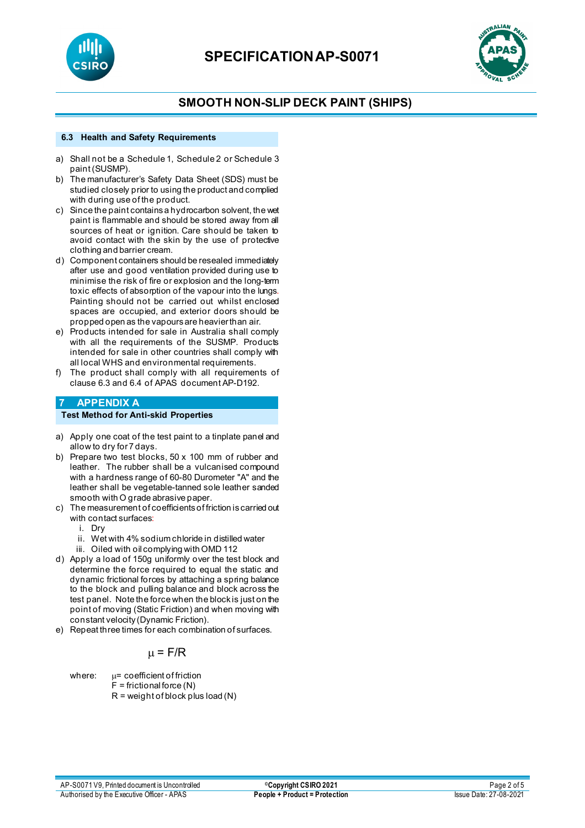



### **SMOOTH NON-SLIP DECK PAINT (SHIPS)**

#### **6.3 Health and Safety Requirements**

- a) Shall not be a Schedule 1, Schedule 2 or Schedule 3 paint (SUSMP).
- b) The manufacturer's Safety Data Sheet (SDS) must be studied closely prior to using the product and complied with during use of the product.
- c) Since the paint containsa hydrocarbon solvent, the wet paint is flammable and should be stored away from all sources of heat or ignition. Care should be taken to avoid contact with the skin by the use of protective clothing and barrier cream.
- d) Component containers should be resealed immediately after use and good ventilation provided during use to minimise the risk of fire or explosion and the long-term toxic effects of absorption of the vapour into the lungs. Painting should not be carried out whilst enclosed spaces are occupied, and exterior doors should be propped open as the vapours are heavier than air.
- e) Products intended for sale in Australia shall comply with all the requirements of the SUSMP. Products intended for sale in other countries shall comply with all local WHS and environmental requirements.
- f) The product shall comply with all requirements of clause 6.3 and 6.4 of APAS document AP-D192.

### **7 APPENDIX A**

#### **Test Method for Anti-skid Properties**

- a) Apply one coat of the test paint to a tinplate panel and allow to dry for 7 days.
- b) Prepare two test blocks, 50 x 100 mm of rubber and leather. The rubber shall be a vulcanised compound with a hardness range of 60-80 Durometer "A" and the leather shall be vegetable-tanned sole leather sanded smooth with O grade abrasive paper.
- c) The measurement of coefficients of friction is carried out with contact surfaces:
	- i. Dry
	- ii. Wet with 4% sodium chloride in distilled water
	- iii. Oiled with oil complying with OMD 112
- d) Apply a load of 150g uniformly over the test block and determine the force required to equal the static and dynamic frictional forces by attaching a spring balance to the block and pulling balance and block across the test panel. Note the force when the block is just on the point of moving (Static Friction) and when moving with constant velocity (Dynamic Friction).
- e) Repeat three times for each combination of surfaces.

### $\mu$  = F/R

where:  $\mu$  = coefficient of friction  $F =$  frictional force  $(N)$  $R = weight of block plus load (N)$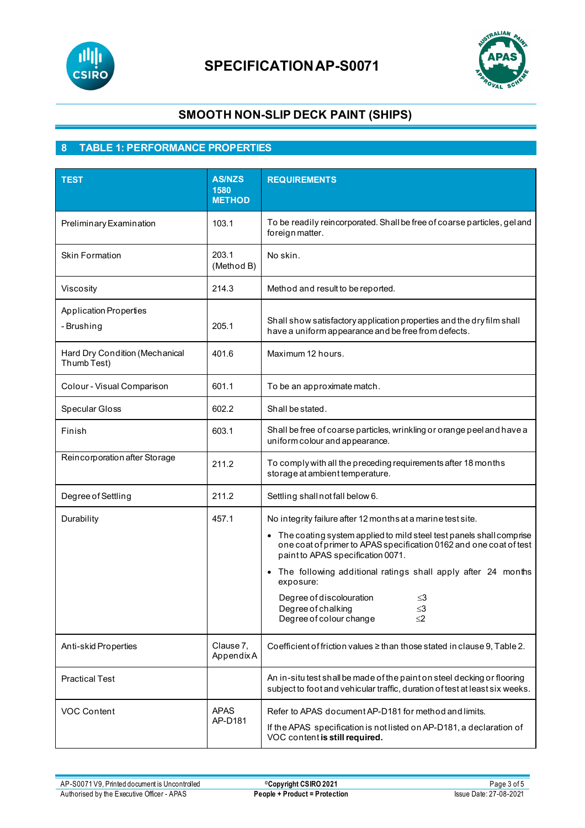



# **SMOOTH NON-SLIP DECK PAINT (SHIPS)**

### **8 TABLE 1: PERFORMANCE PROPERTIES**

| <b>TEST</b>                                   | <b>AS/NZS</b><br>1580<br><b>METHOD</b> | <b>REQUIREMENTS</b>                                                                                                                                                                                                                                                                                                                                                                                                                 |  |  |
|-----------------------------------------------|----------------------------------------|-------------------------------------------------------------------------------------------------------------------------------------------------------------------------------------------------------------------------------------------------------------------------------------------------------------------------------------------------------------------------------------------------------------------------------------|--|--|
| Preliminary Examination                       | 103.1                                  | To be readily reincorporated. Shall be free of coarse particles, gel and<br>foreign matter.                                                                                                                                                                                                                                                                                                                                         |  |  |
| <b>Skin Formation</b>                         | 203.1<br>(Method B)                    | No skin.                                                                                                                                                                                                                                                                                                                                                                                                                            |  |  |
| Viscosity                                     | 214.3                                  | Method and result to be reported.                                                                                                                                                                                                                                                                                                                                                                                                   |  |  |
| <b>Application Properties</b><br>- Brushing   | 205.1                                  | Shall show satisfactory application properties and the dry film shall<br>have a uniform appearance and be free from defects.                                                                                                                                                                                                                                                                                                        |  |  |
| Hard Dry Condition (Mechanical<br>Thumb Test) | 401.6                                  | Maximum 12 hours.                                                                                                                                                                                                                                                                                                                                                                                                                   |  |  |
| Colour - Visual Comparison                    | 601.1                                  | To be an approximate match.                                                                                                                                                                                                                                                                                                                                                                                                         |  |  |
| Specular Gloss                                | 602.2                                  | Shall be stated.                                                                                                                                                                                                                                                                                                                                                                                                                    |  |  |
| Finish                                        | 603.1                                  | Shall be free of coarse particles, wrinkling or orange peel and have a<br>uniform colour and appearance.                                                                                                                                                                                                                                                                                                                            |  |  |
| Reincorporation after Storage                 | 211.2                                  | To comply with all the preceding requirements after 18 months<br>storage at ambient temperature.                                                                                                                                                                                                                                                                                                                                    |  |  |
| Degree of Settling                            | 211.2                                  | Settling shall not fall below 6.                                                                                                                                                                                                                                                                                                                                                                                                    |  |  |
| Durability                                    | 457.1                                  | No integrity failure after 12 months at a marine test site.<br>• The coating system applied to mild steel test panels shall comprise<br>one coat of primer to APAS specification 0162 and one coat of test<br>paint to APAS specification 0071.<br>• The following additional ratings shall apply after 24 months<br>exposure:<br>Degree of discolouration<br>≤3<br>$\leq$ 3<br>Degree of chalking<br>Degree of colour change<br>≤2 |  |  |
| Anti-skid Properties                          | Clause 7,<br>AppendixA                 | Coefficient of friction values ≥ than those stated in clause 9, Table 2.                                                                                                                                                                                                                                                                                                                                                            |  |  |
| <b>Practical Test</b>                         |                                        | An in-situ test shall be made of the paint on steel decking or flooring<br>subject to foot and vehicular traffic, duration of test at least six weeks.                                                                                                                                                                                                                                                                              |  |  |
| <b>VOC Content</b>                            | <b>APAS</b><br>AP-D181                 | Refer to APAS document AP-D181 for method and limits.<br>If the APAS specification is not listed on AP-D181, a declaration of<br>VOC content is still required.                                                                                                                                                                                                                                                                     |  |  |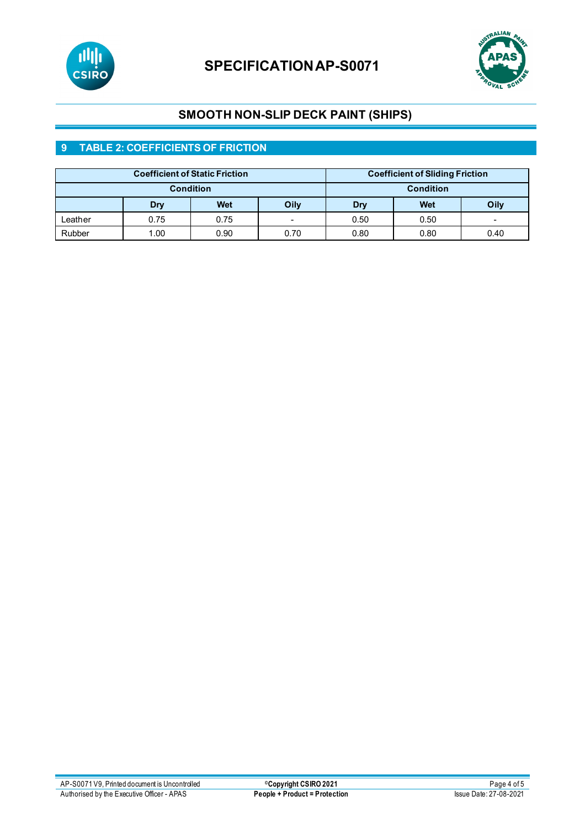



# **SMOOTH NON-SLIP DECK PAINT (SHIPS)**

### **9 TABLE 2: COEFFICIENTS OF FRICTION**

| <b>Coefficient of Static Friction</b> |      |      | <b>Coefficient of Sliding Friction</b> |      |      |      |
|---------------------------------------|------|------|----------------------------------------|------|------|------|
| <b>Condition</b>                      |      |      | <b>Condition</b>                       |      |      |      |
|                                       | Dry  | Wet  | Oily                                   | Dry  | Wet  | Oily |
| ∟eather                               | 0.75 | 0.75 | $\overline{\phantom{0}}$               | 0.50 | 0.50 | -    |
| Rubber                                | 1.00 | 0.90 | 0.70                                   | 0.80 | 0.80 | 0.40 |